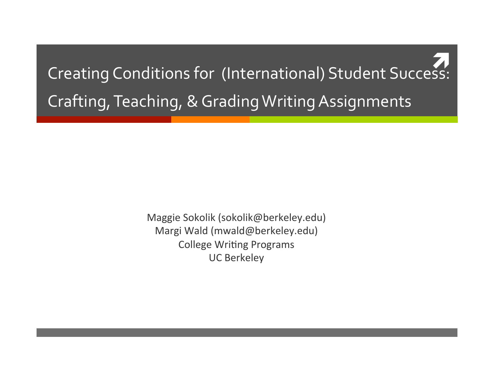Creating Conditions for (International) Student Success: Crafting, Teaching, & Grading Writing Assignments

> Maggie Sokolik (sokolik@berkeley.edu) Margi Wald (mwald@berkeley.edu) College Writing Programs UC Berkeley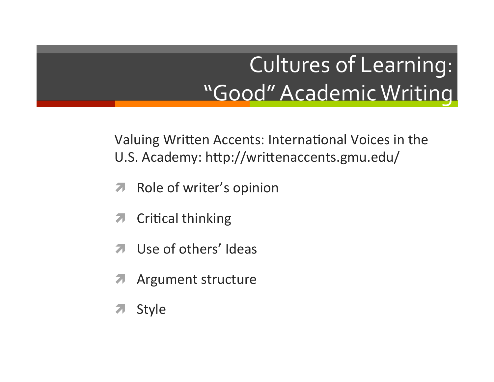# **Cultures of Learning:** "Good" Academic Writing

Valuing Written Accents: International Voices in the U.S. Academy: http://writtenaccents.gmu.edu/

- Role of writer's opinion  $\overline{\mathbf{z}}$
- **Critical thinking**  $\overline{\phantom{a}}$
- Use of others' Ideas  $\overline{\mathbf{z}}$
- **Argument structure** 7
- Style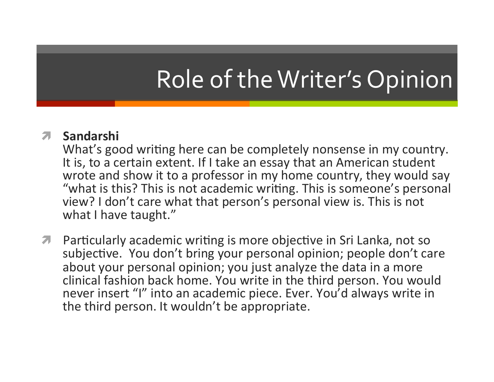# Role of the Writer's Opinion

### ì **Sandarshi**

What's good writing here can be completely nonsense in my country. It is, to a certain extent. If I take an essay that an American student wrote and show it to a professor in my home country, they would say "what is this? This is not academic writing. This is someone's personal view? I don't care what that person's personal view is. This is not what I have taught."

**7** Particularly academic writing is more objective in Sri Lanka, not so subjective. You don't bring your personal opinion; people don't care about your personal opinion; you just analyze the data in a more clinical fashion back home. You write in the third person. You would never insert "I" into an academic piece. Ever. You'd always write in the third person. It wouldn't be appropriate.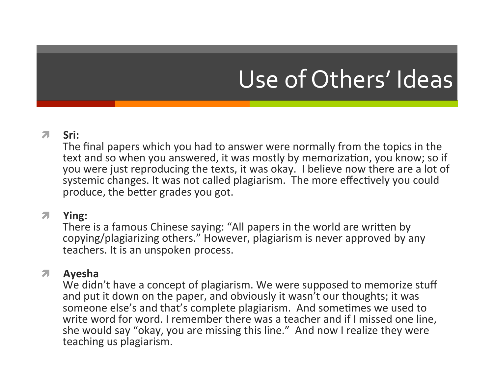# Use of Others' Ideas

#### 7 Sri:

The final papers which you had to answer were normally from the topics in the text and so when you answered, it was mostly by memorization, you know; so if you were just reproducing the texts, it was okay. I believe now there are a lot of systemic changes. It was not called plagiarism. The more effectively you could produce, the better grades you got.

#### ì **Ying:**

There is a famous Chinese saying: "All papers in the world are written by copying/plagiarizing others." However, plagiarism is never approved by any teachers. It is an unspoken process.

#### ì **Ayesha**

We didn't have a concept of plagiarism. We were supposed to memorize stuff and put it down on the paper, and obviously it wasn't our thoughts; it was someone else's and that's complete plagiarism. And sometimes we used to write word for word. I remember there was a teacher and if I missed one line, she would say "okay, you are missing this line." And now I realize they were teaching us plagiarism.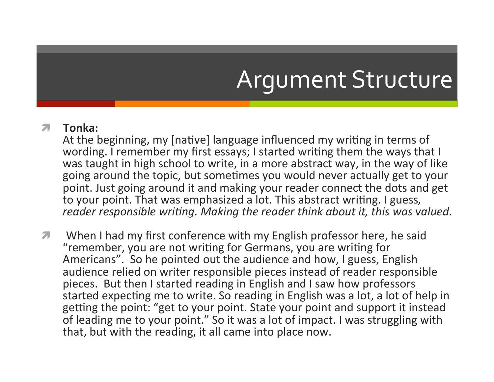# Argument Structure

#### ì **Tonka:**

At the beginning, my [native] language influenced my writing in terms of wording. I remember my first essays; I started writing them the ways that I was taught in high school to write, in a more abstract way, in the way of like going around the topic, but sometimes you would never actually get to your point. Just going around it and making your reader connect the dots and get to your point. That was emphasized a lot. This abstract writing. I guess, *reader responsible writing. Making the reader think about it, this was valued.* 

**7** When I had my first conference with my English professor here, he said "remember, you are not writing for Germans, you are writing for Americans". So he pointed out the audience and how, I guess, English audience relied on writer responsible pieces instead of reader responsible pieces. But then I started reading in English and I saw how professors started expecting me to write. So reading in English was a lot, a lot of help in getting the point: "get to your point. State your point and support it instead of leading me to your point." So it was a lot of impact. I was struggling with that, but with the reading, it all came into place now.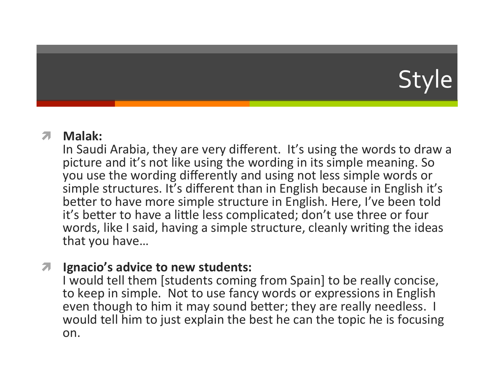# Style

**7** Malak:<br>
In Saudi Arabia, they are very different. It's using the words to draw a picture and it's not like using the wording in its simple meaning. So you use the wording differently and using not less simple words or simple structures. It's different than in English because in English it's better to have more simple structure in English. Here, I've been told it's better to have a little less complicated; don't use three or four words, like I said, having a simple structure, cleanly writing the ideas that you have...

### $\pi$  Ignacio's advice to new students:

I would tell them [students coming from Spain] to be really concise, to keep in simple. Not to use fancy words or expressions in English even though to him it may sound better; they are really needless. I would tell him to just explain the best he can the topic he is focusing on.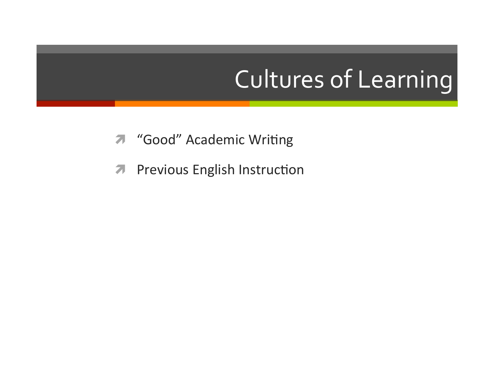# **Cultures of Learning**

- "Good" Academic Writing 7
- **Previous English Instruction**  $\overline{\mathbf{z}}$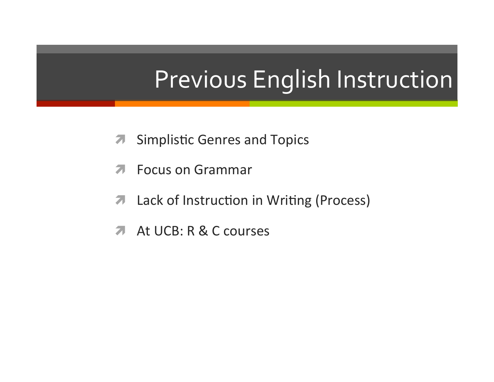# Previous English Instruction

- **Simplistic Genres and Topics**  $\overline{\boldsymbol{\eta}}$
- **Focus on Grammar** 71
- Lack of Instruction in Writing (Process)  $\overline{\phantom{a}}$
- At UCB: R & C courses **21**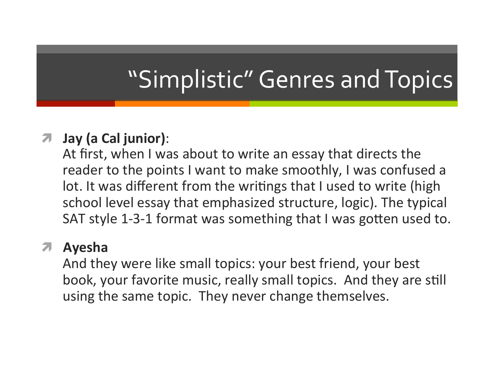# "Simplistic" Genres and Topics

### $\pi$  Jay (a Cal junior):

At first, when I was about to write an essay that directs the reader to the points I want to make smoothly, I was confused a lot. It was different from the writings that I used to write (high school level essay that emphasized structure, logic). The typical SAT style 1-3-1 format was something that I was gotten used to.

### ì **Ayesha**

And they were like small topics: your best friend, your best book, your favorite music, really small topics. And they are still using the same topic. They never change themselves.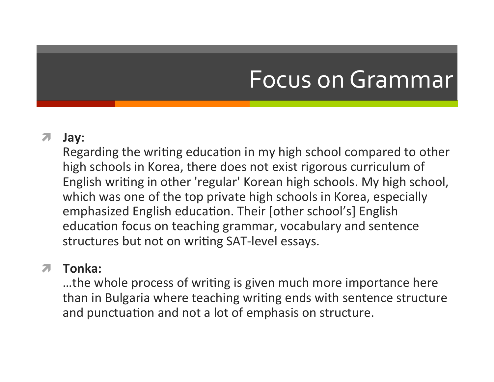### Focus on Grammar

### ì **Jay**:

Regarding the writing education in my high school compared to other high schools in Korea, there does not exist rigorous curriculum of English writing in other 'regular' Korean high schools. My high school, which was one of the top private high schools in Korea, especially emphasized English education. Their [other school's] English education focus on teaching grammar, vocabulary and sentence structures but not on writing SAT-level essays.

### ì **Tonka:**

...the whole process of writing is given much more importance here than in Bulgaria where teaching writing ends with sentence structure and punctuation and not a lot of emphasis on structure.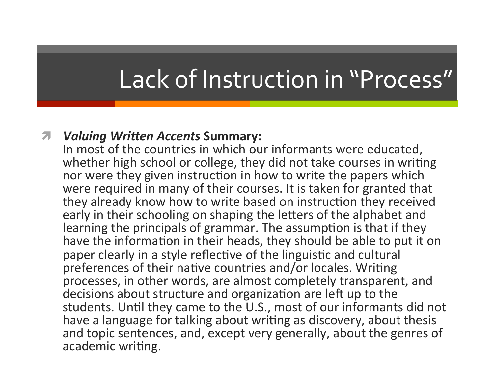## Lack of Instruction in "Process"

#### $\pi$  *Valuing Written Accents Summary:*

In most of the countries in which our informants were educated, whether high school or college, they did not take courses in writing nor were they given instruction in how to write the papers which were required in many of their courses. It is taken for granted that they already know how to write based on instruction they received early in their schooling on shaping the letters of the alphabet and learning the principals of grammar. The assumption is that if they have the information in their heads, they should be able to put it on paper clearly in a style reflective of the linguistic and cultural preferences of their native countries and/or locales. Writing processes, in other words, are almost completely transparent, and decisions about structure and organization are left up to the students. Until they came to the U.S., most of our informants did not have a language for talking about writing as discovery, about thesis and topic sentences, and, except very generally, about the genres of academic writing.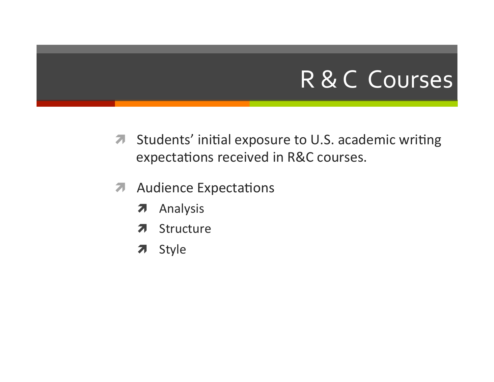### R & C Courses

- Students' initial exposure to U.S. academic writing  $\boldsymbol{\pi}$ expectations received in R&C courses.
- **Audience Expectations**  $\overline{\mathbf{z}}$ 
	- Analysis  $\overline{\boldsymbol{\pi}}$
	- Structure Я.
	- Style  $\overline{\phantom{a}}$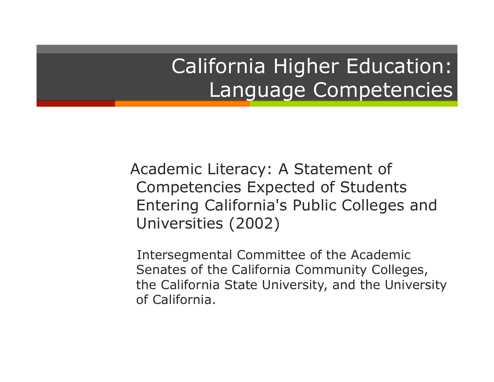### California Higher Education: Language Competencies

 Academic Literacy: A Statement of Competencies Expected of Students Entering California's Public Colleges and Universities (2002)

Intersegmental Committee of the Academic Senates of the California Community Colleges, the California State University, and the University of California.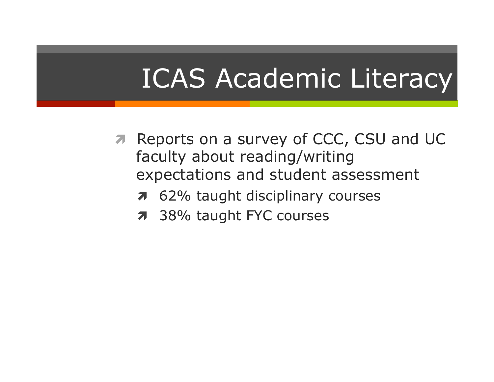# **ICAS Academic Literacy**

- **A** Reports on a survey of CCC, CSU and UC faculty about reading/writing expectations and student assessment
	- 62% taught disciplinary courses  $\overline{\boldsymbol{z}}$
	- 7 38% taught FYC courses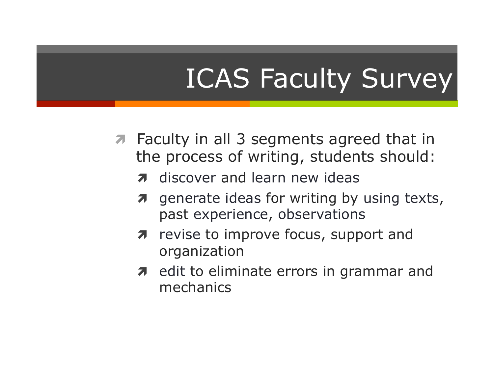# ICAS Faculty Survey

- *A* Faculty in all 3 segments agreed that in the process of writing, students should:
	- *n* discover and learn new ideas
	- *a* generate ideas for writing by using texts, past experience, observations
	- $\pi$  revise to improve focus, support and organization
	- $\lambda$  edit to eliminate errors in grammar and mechanics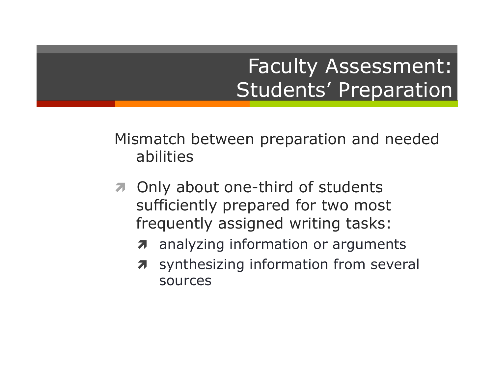### Faculty Assessment: Students' Preparation

Mismatch between preparation and needed abilities

- *A* Only about one-third of students sufficiently prepared for two most frequently assigned writing tasks:
	- $\lambda$  analyzing information or arguments
	- $\pi$  synthesizing information from several sources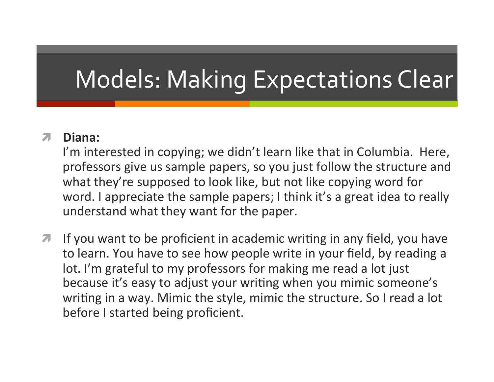# Models: Making Expectations Clear

### **7** Diana:

I'm interested in copying; we didn't learn like that in Columbia. Here, professors give us sample papers, so you just follow the structure and what they're supposed to look like, but not like copying word for word. I appreciate the sample papers; I think it's a great idea to really understand what they want for the paper.

**7** If you want to be proficient in academic writing in any field, you have to learn. You have to see how people write in your field, by reading a lot. I'm grateful to my professors for making me read a lot just because it's easy to adjust your writing when you mimic someone's writing in a way. Mimic the style, mimic the structure. So I read a lot before I started being proficient.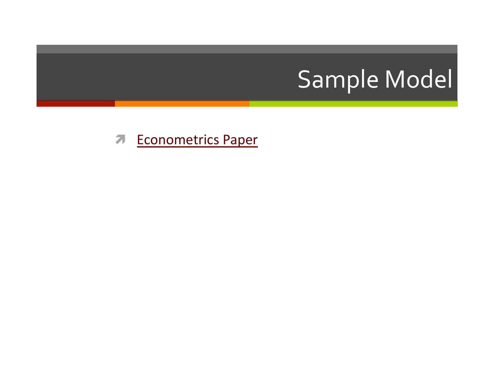# Sample Model

**7** Econometrics Paper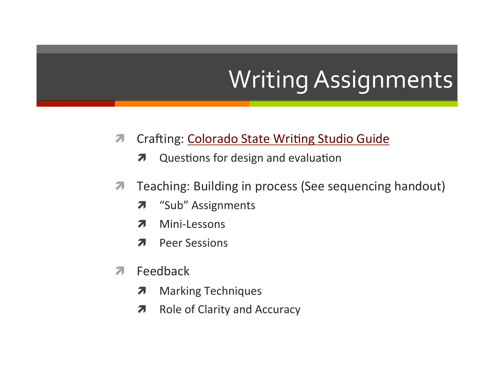# **Writing Assignments**

- Crafting: Colorado State Writing Studio Guide  $\overline{\mathcal{A}}$ 
	- Questions for design and evaluation 7
- Teaching: Building in process (See sequencing handout)  $\overline{\phantom{a}}$ 
	- "Sub" Assignments  $\overline{\boldsymbol{\pi}}$
	- Mini-Lessons 7
	- **Peer Sessions**  $\overline{\mathbf{z}}$
- Feedback 71
	- **Marking Techniques** 7
	- **Role of Clarity and Accuracy**  $\overline{\boldsymbol{\pi}}$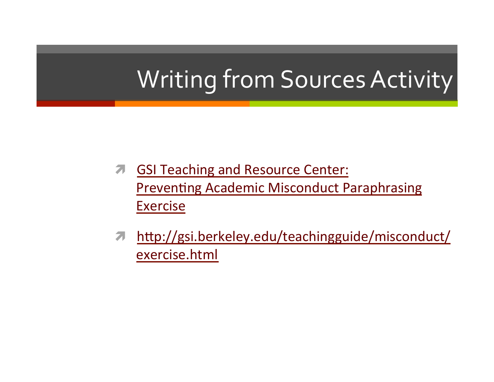# Writing from Sources Activity

- **A** GSI Teaching and Resource Center: **Preventing Academic Misconduct Paraphrasing Exercise**
- http://gsi.berkeley.edu/teachingguide/misconduct/  $\overline{\mathbf{z}}$ exercise.html